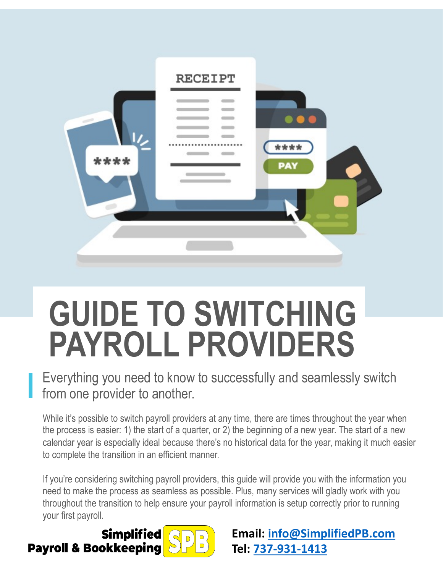

# **GUIDE TO SWITCHING PAYROLL PROVIDERS**

Everything you need to know to successfully and seamlessly switch from one provider to another.

While it's possible to switch payroll providers at any time, there are times throughout the year when the process is easier: 1) the start of a quarter, or 2) the beginning of a new year. The start of a new calendar year is especially ideal because there's no historical data for the year, making it much easier to complete the transition in an efficient manner.

If you're considering switching payroll providers, this guide will provide you with the information you need to make the process as seamless as possible. Plus, many services will gladly work with you throughout the transition to help ensure your payroll information is setup correctly prior to running your first payroll.

**Simplified Payroll & Bookkeeping** 



**Email: [info@SimplifiedPB.com](mailto:info@SimplifiedPB.com) Tel: [737-931-1413](tel:737-931-1413)**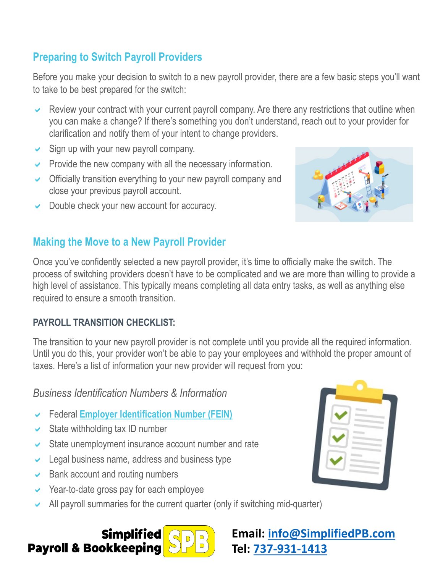# **Preparing to Switch Payroll Providers**

Before you make your decision to switch to a new payroll provider, there are a few basic steps you'll want to take to be best prepared for the switch:

- Review your contract with your current payroll company. Are there any restrictions that outline when you can make a change? If there's something you don't understand, reach out to your provider for clarification and notify them of your intent to change providers.
- $\triangleright$  Sign up with your new payroll company.
- $\triangleright$  Provide the new company with all the necessary information.
- $\triangleright$  Officially transition everything to your new payroll company and close your previous payroll account.
- $\triangleright$  Double check your new account for accuracy.

## **Making the Move to a New Payroll Provider**

Once you've confidently selected a new payroll provider, it's time to officially make the switch. The process of switching providers doesn't have to be complicated and we are more than willing to provide a high level of assistance. This typically means completing all data entry tasks, as well as anything else required to ensure a smooth transition.

#### **PAYROLL TRANSITION CHECKLIST:**

The transition to your new payroll provider is not complete until you provide all the required information. Until you do this, your provider won't be able to pay your employees and withhold the proper amount of taxes. Here's a list of information your new provider will request from you:

#### *Business Identification Numbers & Information*

- a Federal **[Employer Identification Number \(FEIN\)](https://www.irs.gov/businesses/small-businesses-self-employed/apply-for-an-employer-identification-number-ein-online)**
- $\triangleright$  State withholding tax ID number
- $\triangleright$  State unemployment insurance account number and rate
- $\triangleright$  Legal business name, address and business type
- $\triangleright$  Bank account and routing numbers
- $\vee$  Year-to-date gross pay for each employee
- All payroll summaries for the current quarter (only if switching mid-quarter)





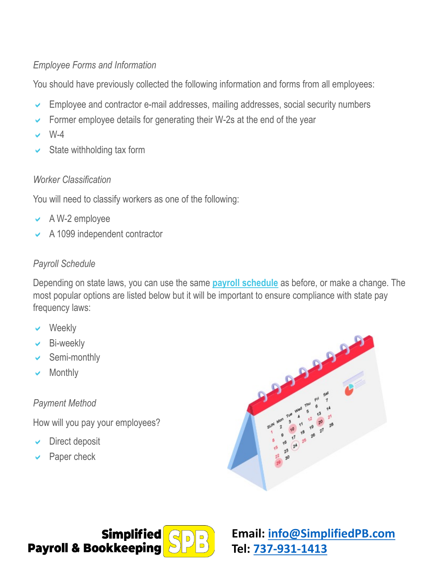#### *Employee Forms and Information*

You should have previously collected the following information and forms from all employees:

- Employee and contractor e-mail addresses, mailing addresses, social security numbers
- Former employee details for generating their W-2s at the end of the year
- $W-4$
- State withholding tax form

#### *Worker Classification*

You will need to classify workers as one of the following:

- $\vee$  A W-2 employee
- $\sim$  A 1099 independent contractor

#### *Payroll Schedule*

Depending on state laws, you can use the same **[payroll schedule](https://www.dol.gov/whd/state/payday.htm)** as before, or make a change. The most popular options are listed below but it will be important to ensure compliance with state pay frequency laws:

- Weekly
- $\vee$  Bi-weekly
- Semi-monthly
- $\vee$  Monthly

### *Payment Method*

How will you pay your employees?

- Direct deposit
- Paper check





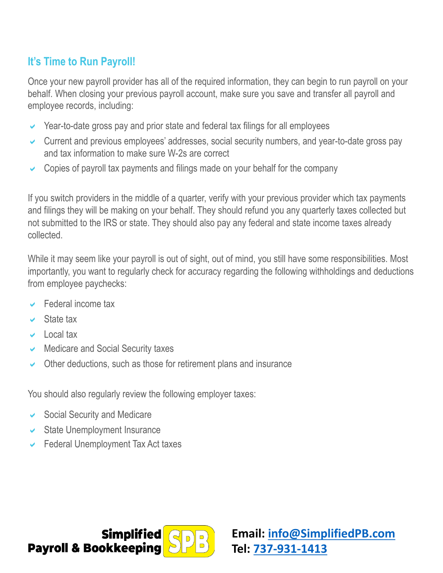# **It's Time to Run Payroll!**

Once your new payroll provider has all of the required information, they can begin to run payroll on your behalf. When closing your previous payroll account, make sure you save and transfer all payroll and employee records, including:

- $\vee$  Year-to-date gross pay and prior state and federal tax filings for all employees
- $\triangleright$  Current and previous employees' addresses, social security numbers, and year-to-date gross pay and tax information to make sure W-2s are correct
- $\sim$  Copies of payroll tax payments and filings made on your behalf for the company

If you switch providers in the middle of a quarter, verify with your previous provider which tax payments and filings they will be making on your behalf. They should refund you any quarterly taxes collected but not submitted to the IRS or state. They should also pay any federal and state income taxes already collected.

While it may seem like your payroll is out of sight, out of mind, you still have some responsibilities. Most importantly, you want to regularly check for accuracy regarding the following withholdings and deductions from employee paychecks:

- $\sqrt{\phantom{a}}$  Federal income tax
- State tax
- $\vee$  Local tax
- $\vee$  Medicare and Social Security taxes
- $\vee$  Other deductions, such as those for retirement plans and insurance

You should also regularly review the following employer taxes:

- $\sim$  Social Security and Medicare
- $\vee$  State Unemployment Insurance
- $\triangleright$  Federal Unemployment Tax Act taxes



**Email: [info@SimplifiedPB.com](mailto:info@SimplifiedPB.com) Tel: [737-931-1413](tel:737-931-1413)**